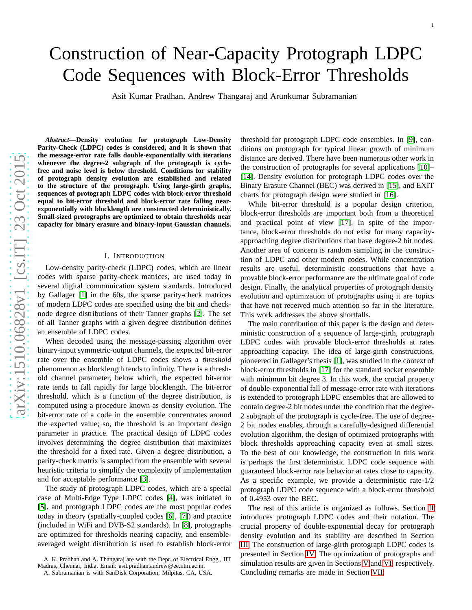Asit Kumar Pradhan, Andrew Thangaraj and Arunkumar Subramanian

arXiv:1510.06828v1 [cs.IT] 23 Oct 2015 [arXiv:1510.06828v1 \[cs.IT\] 23 Oct 2015](http://arxiv.org/abs/1510.06828v1)

*Abstract***—Density evolution for protograph Low-Density** Parity-Check (LDPC) codes is considered, and it is shown that **the message-error rate falls double-exponentially with iterations whenever the degree-2 subgraph of the protograph is cyclefree and noise level is below threshold. Conditions for stability** of protograph density evolution are established and related **to the structure of the protograph. Using large-girth graphs, sequences of protograph LDPC codes with block-error threshold equal to bit-error threshold and block-error rate falling nearexponentially with blocklength are constructed deterministically. Small-sized protographs are optimized to obtain thresholds near capacity for binary erasure and binary-input Gaussian channels.**

#### I. INTRODUCTION

Low-density parity-check (LDPC) codes, which are linear codes with sparse parity-check matrices, are used today in several digital communication system standards. Introduced by Gallager [\[1\]](#page-9-0) in the 60s, the sparse parity-check matrices of modern LDPC codes are specified using the bit and checknode degree distributions of their Tanner graphs [\[2\]](#page-9-1). The set of all Tanner graphs with a given degree distribution defines an ensemble of LDPC codes.

When decoded using the message-passing algorithm over binary-input symmetric-output channels, the expected bit-error rate over the ensemble of LDPC codes shows a *threshold* phenomenon as blocklength tends to infinity. There is a threshold channel parameter, below which, the expected bit-error rate tends to fall rapidly for large blocklength. The bit-error threshold, which is a function of the degree distribution, i s computed using a procedure known as density evolution. The bit-error rate of a code in the ensemble concentrates around the expected value; so, the threshold is an important design parameter in practice. The practical design of LDPC codes involves determining the degree distribution that maximizes the threshold for a fixed rate. Given a degree distribution, a parity-check matrix is sampled from the ensemble with several heuristic criteria to simplify the complexity of implementation and for acceptable performance [\[3\]](#page-9-2).

The study of protograph LDPC codes, which are a special case of Multi-Edge Type LDPC codes [\[4\]](#page-9-3), was initiated in [\[5\]](#page-9-4), and protograph LDPC codes are the most popular codes today in theory (spatially-coupled codes [\[6\]](#page-9-5), [\[7\]](#page-9-6)) and practice (included in WiFi and DVB-S2 standards). In [\[8\]](#page-9-7), protograph s are optimized for thresholds nearing capacity, and ensembleaveraged weight distribution is used to establish block-error

A. K. Pradhan and A. Thangaraj are with the Dept. of Electrical Engg., IIT Madras, Chennai, India, Email: asit.pradhan,andrew@ee.iitm.ac.in.

threshold for protograph LDPC code ensembles. In [\[9\]](#page-9-8), conditions on protograph for typical linear growth of minimum distance are derived. There have been numerous other work in the construction of protographs for several applications [\[10\]](#page-9-9)– [\[14\]](#page-9-10). Density evolution for protograph LDPC codes over the Binary Erasure Channel (BEC) was derived in [\[15\]](#page-9-11), and EXIT charts for protograph design were studied in [\[16\]](#page-9-12).

1

While bit-error threshold is a popular design criterion, block-error thresholds are important both from a theoretical and practical point of view [\[17\]](#page-10-0). In spite of the importance, block-error thresholds do not exist for many capacityapproaching degree distributions that have degree-2 bit nodes. Another area of concern is random sampling in the construction of LDPC and other modern codes. While concentration results are useful, deterministic constructions that have a provable block-error performance are the ultimate goal of code design. Finally, the analytical properties of protograph density evolution and optimization of protographs using it are topics that have not received much attention so far in the literature. This work addresses the above shortfalls.

The main contribution of this paper is the design and deterministic construction of a sequence of large-girth, protograph LDPC codes with provable block-error thresholds at rates approaching capacity. The idea of large-girth constructions, pioneered in Gallager's thesis [\[1\]](#page-9-0), was studied in the context of block-error thresholds in [\[17\]](#page-10-0) for the standard socket ensemble with minimum bit degree 3. In this work, the crucial property of double-exponential fall of message-error rate with iterations is extended to protograph LDPC ensembles that are allowed to contain degree-2 bit nodes under the condition that the degree-2 subgraph of the protograph is cycle-free. The use of degree-2 bit nodes enables, through a carefully-designed differential evolution algorithm, the design of optimized protographs with block thresholds approaching capacity even at small sizes. To the best of our knowledge, the construction in this work is perhaps the first deterministic LDPC code sequence with guaranteed block-error rate behavior at rates close to capacity. As a specific example, we provide a deterministic rate-1/2 protograph LDPC code sequence with a block-error threshold of 0.4953 over the BEC.

The rest of this article is organized as follows. Section [II](#page-1-0) introduces protograph LDPC codes and their notation. The crucial property of double-exponential decay for protograph density evolution and its stability are described in Sectio n [III.](#page-1-1) The construction of large-girth protograph LDPC codes is presented in Section [IV.](#page-5-0) The optimization of protographs an d simulation results are given in Sections [V](#page-6-0) and [VI,](#page-7-0) respectively. Concluding remarks are made in Section [VII.](#page-8-0)

A. Subramanian is with SanDisk Corporation, Milpitas, CA, USA.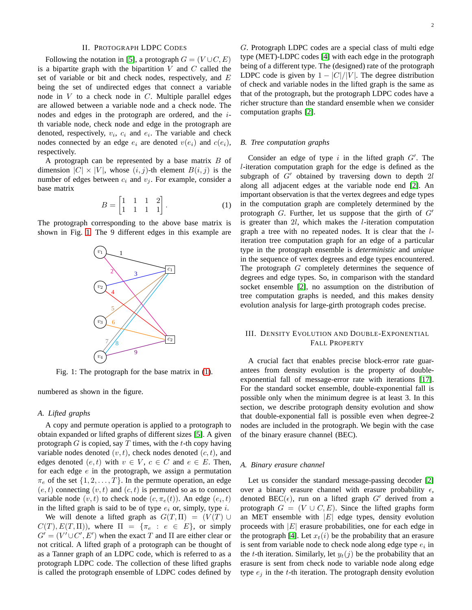#### II. PROTOGRAPH LDPC CODES

<span id="page-1-0"></span>Following the notation in [\[5\]](#page-9-4), a protograph  $G = (V \cup C, E)$ is a bipartite graph with the bipartition  $V$  and  $C$  called the set of variable or bit and check nodes, respectively, and  $E$ being the set of undirected edges that connect a variable node in  $V$  to a check node in  $C$ . Multiple parallel edges are allowed between a variable node and a check node. The nodes and edges in the protograph are ordered, and the ith variable node, check node and edge in the protograph are denoted, respectively,  $v_i$ ,  $c_i$  and  $e_i$ . The variable and check nodes connected by an edge  $e_i$  are denoted  $v(e_i)$  and  $c(e_i)$ , respectively.

A protograph can be represented by a base matrix  $B$  of dimension  $|C| \times |V|$ , whose  $(i, j)$ -th element  $B(i, j)$  is the number of edges between  $c_i$  and  $v_j$ . For example, consider a base matrix

$$
B = \begin{bmatrix} 1 & 1 & 1 & 2 \\ 1 & 1 & 1 & 1 \end{bmatrix}.
$$
 (1)

<span id="page-1-2"></span>The protograph corresponding to the above base matrix is shown in Fig. [1.](#page-1-2) The 9 different edges in this example are



Fig. 1: The protograph for the base matrix in [\(1\)](#page-1-3).

numbered as shown in the figure.

#### *A. Lifted graphs*

A copy and permute operation is applied to a protograph to obtain expanded or lifted graphs of different sizes [\[5\]](#page-9-4). A given protograph  $G$  is copied, say  $T$  times, with the  $t$ -th copy having variable nodes denoted  $(v, t)$ , check nodes denoted  $(c, t)$ , and edges denoted  $(e, t)$  with  $v \in V$ ,  $c \in C$  and  $e \in E$ . Then, for each edge  $e$  in the protograph, we assign a permutation  $\pi_e$  of the set  $\{1, 2, \ldots, T\}$ . In the permute operation, an edge  $(e, t)$  connecting  $(v, t)$  and  $(c, t)$  is permuted so as to connect variable node  $(v, t)$  to check node  $(c, \pi_e(t))$ . An edge  $(e_i, t)$ in the lifted graph is said to be of type  $e_i$  or, simply, type i.

We will denote a lifted graph as  $G(T, \Pi) = (V(T) \cup$  $C(T), E(T, \Pi)$ , where  $\Pi = {\pi_e : e \in E}$ , or simply  $G' = (V' \cup C', E')$  when the exact T and  $\Pi$  are either clear or not critical. A lifted graph of a protograph can be thought of as a Tanner graph of an LDPC code, which is referred to as a protograph LDPC code. The collection of these lifted graphs is called the protograph ensemble of LDPC codes defined by

G. Protograph LDPC codes are a special class of multi edge type (MET)-LDPC codes [\[4\]](#page-9-3) with each edge in the protograph being of a different type. The (designed) rate of the protograph LDPC code is given by  $1 - |C|/|V|$ . The degree distribution of check and variable nodes in the lifted graph is the same as that of the protograph, but the protograph LDPC codes have a richer structure than the standard ensemble when we consider computation graphs [\[2\]](#page-9-1).

### *B. Tree computation graphs*

<span id="page-1-3"></span>Consider an edge of type  $i$  in the lifted graph  $G'$ . The l-iteration computation graph for the edge is defined as the subgraph of  $G'$  obtained by traversing down to depth  $2l$ along all adjacent edges at the variable node end [\[2\]](#page-9-1). An important observation is that the vertex degrees and edge types in the computation graph are completely determined by the protograph  $G$ . Further, let us suppose that the girth of  $G'$ is greater than  $2l$ , which makes the *l*-iteration computation graph a tree with no repeated nodes. It is clear that the literation tree computation graph for an edge of a particular type in the protograph ensemble is *deterministic* and *unique* in the sequence of vertex degrees and edge types encountered. The protograph G completely determines the sequence of degrees and edge types. So, in comparison with the standard socket ensemble [\[2\]](#page-9-1), no assumption on the distribution of tree computation graphs is needed, and this makes density evolution analysis for large-girth protograph codes precise.

# <span id="page-1-1"></span>III. DENSITY EVOLUTION AND DOUBLE-EXPONENTIAL FALL PROPERTY

A crucial fact that enables precise block-error rate guarantees from density evolution is the property of doubleexponential fall of message-error rate with iterations [\[17\]](#page-10-0). For the standard socket ensemble, double-exponential fall is possible only when the minimum degree is at least 3. In this section, we describe protograph density evolution and show that double-exponential fall is possible even when degree-2 nodes are included in the protograph. We begin with the case of the binary erasure channel (BEC).

#### *A. Binary erasure channel*

Let us consider the standard message-passing decoder [\[2\]](#page-9-1) over a binary erasure channel with erasure probability  $\epsilon$ , denoted BEC( $\epsilon$ ), run on a lifted graph G' derived from a protograph  $G = (V \cup C, E)$ . Since the lifted graphs form an MET ensemble with  $|E|$  edge types, density evolution proceeds with  $|E|$  erasure probabilities, one for each edge in the protograph [\[4\]](#page-9-3). Let  $x_t(i)$  be the probability that an erasure is sent from variable node to check node along edge type  $e_i$  in the t-th iteration. Similarly, let  $y_t(j)$  be the probability that an erasure is sent from check node to variable node along edge type  $e_i$  in the t-th iteration. The protograph density evolution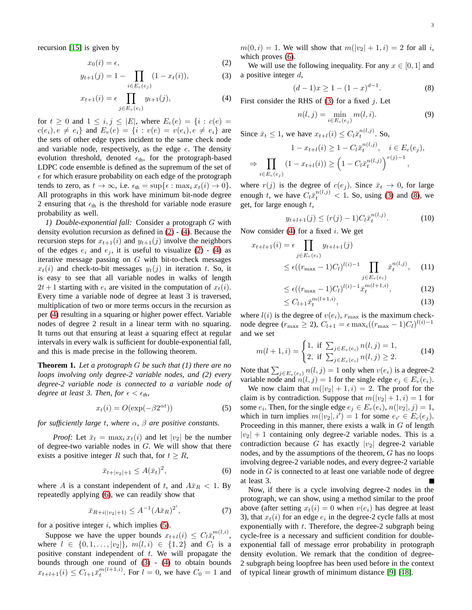recursion [\[15\]](#page-9-11) is given by

$$
x_0(i) = \epsilon,\tag{2}
$$

$$
y_{t+1}(j) = 1 - \prod_{i \in E_c(e_j)} (1 - x_t(i)),
$$
 (3)

$$
x_{t+1}(i) = \epsilon \prod_{j \in E_v(e_i)} y_{t+1}(j),
$$
 (4)

for  $t \geq 0$  and  $1 \leq i, j \leq |E|$ , where  $E_c(e) = \{i : c(e) =$  $c(e_i), e \neq e_i$  and  $E_v(e) = \{i : v(e) = v(e_i), e \neq e_i\}$  are the sets of other edge types incident to the same check node and variable node, respectively, as the edge  $e$ . The density evolution threshold, denoted  $\epsilon_{th}$ , for the protograph-based LDPC code ensemble is defined as the supremum of the set of  $\epsilon$  for which erasure probability on each edge of the protograph tends to zero, as  $t \to \infty$ , i.e.  $\epsilon_{\text{th}} = \sup{\epsilon : \max_i x_t(i) \to 0}.$ All protographs in this work have minimum bit-node degree 2 ensuring that  $\epsilon_{\text{th}}$  is the threshold for variable node erasure probability as well.

*1) Double-exponential fall:* Consider a protograph G with density evolution recursion as defined in [\(2\)](#page-2-0) - [\(4\)](#page-2-1). Because the recursion steps for  $x_{t+1}(i)$  and  $y_{t+1}(j)$  involve the neighbors of the edges  $e_i$  and  $e_j$ , it is useful to visualize [\(2\)](#page-2-0) - [\(4\)](#page-2-1) as iterative message passing on  $G$  with bit-to-check messages  $x_t(i)$  and check-to-bit messages  $y_t(j)$  in iteration t. So, it is easy to see that all variable nodes in walks of length  $2t + 1$  starting with  $e_i$  are visited in the computation of  $x_t(i)$ . Every time a variable node of degree at least 3 is traversed, multiplication of two or more terms occurs in the recursion as per [\(4\)](#page-2-1) resulting in a squaring or higher power effect. Variable nodes of degree 2 result in a linear term with no squaring. It turns out that ensuring at least a squaring effect at regular intervals in every walk is sufficient for double-exponential fall, and this is made precise in the following theorem.

**Theorem 1.** *Let a protograph* G *be such that (1) there are no loops involving only degree-2 variable nodes, and (2) every degree-2 variable node is connected to a variable node of degree at least 3. Then, for*  $\epsilon < \epsilon_{th}$ *,* 

<span id="page-2-3"></span>
$$
x_t(i) = O(\exp(-\beta 2^{\alpha t}))\tag{5}
$$

*for sufficiently large* t*, where* α*,* β *are positive constants.*

*Proof:* Let  $\bar{x}_t = \max_i x_t(i)$  and let  $|v_2|$  be the number of degree-two variable nodes in G. We will show that there exists a positive integer R such that, for  $t \geq R$ ,

$$
\bar{x}_{t+|v_2|+1} \le A(\bar{x}_t)^2, \tag{6}
$$

where A is a constant independent of t, and  $A\bar{x}_R < 1$ . By repeatedly applying [\(6\)](#page-2-2), we can readily show that

$$
\bar{x}_{R+i(|v_2|+1)} \le A^{-1} (A\bar{x}_R)^{2^i},\tag{7}
$$

for a positive integer  $i$ , which implies  $(5)$ .

Suppose we have the upper bounds  $x_{t+l}(i) \leq C_l \bar{x}_t^{m(l,i)}$ , where  $l \in \{0, 1, ..., |v_2|\}$ ,  $m(l, i) \in \{1, 2\}$  and  $C_l$  is a positive constant independent of  $t$ . We will propagate the bounds through one round of  $(3)$  -  $(4)$  to obtain bounds  $x_{t+l+1}(i) \leq C_{l+1} \bar{x}_t^{m(l+1,i)}$ . For  $l = 0$ , we have  $C_0 = 1$  and  $m(0, i) = 1$ . We will show that  $m(|v_2| + 1, i) = 2$  for all i, which proves [\(6\)](#page-2-2).

<span id="page-2-4"></span><span id="page-2-0"></span>We will use the following inequality. For any  $x \in [0, 1]$  and a positive integer  $d$ ,

$$
(d-1)x \ge 1 - (1-x)^{d-1}.
$$
 (8)

<span id="page-2-1"></span>First consider the RHS of  $(3)$  for a fixed j. Let

<span id="page-2-5"></span>
$$
n(l, j) = \min_{i \in E_c(e_j)} m(l, i).
$$
 (9)

Since  $\bar{x}_t \leq 1$ , we have  $x_{t+l}(i) \leq C_l \bar{x}_t^{n(l,j)}$ . So,

$$
1 - x_{t+1}(i) \ge 1 - C_l \bar{x}_t^{n(l,j)}, \quad i \in E_c(e_j),
$$
  
\n
$$
\Rightarrow \prod_{i \in E_c(e_j)} (1 - x_{t+1}(i)) \ge \left(1 - C_l \bar{x}_t^{n(l,j)}\right)^{r(j)-1},
$$

where  $r(j)$  is the degree of  $c(e_j)$ . Since  $\bar{x}_t \to 0$ , for large enough t, we have  $C_l \bar{x}_t^{n(l,j)} < 1$ . So, using [\(3\)](#page-2-4) and [\(8\)](#page-2-5), we get, for large enough  $t$ ,

$$
y_{t+l+1}(j) \le (r(j) - 1)C_l \bar{x}_t^{n(l,j)}.
$$
 (10)

Now consider [\(4\)](#page-2-1) for a fixed  $i$ . We get

$$
x_{t+l+1}(i) = \epsilon \prod_{j \in E_v(e_i)} y_{t+l+1}(j)
$$
  
 
$$
\leq \epsilon ((r_{\max} - 1)C_l)^{l(i)-1} \prod_{j \in E_v(e_i)} \bar{x}_t^{n(l,j)}, \quad (11)
$$

$$
\leq \epsilon ((r_{\max} - 1)C_l)^{l(i)-1} \bar{x}_t^{m(l+1,i)}, \tag{12}
$$

$$
\leq C_{l+1}\bar{x}_t^{m(l+1,i)},\tag{13}
$$

where  $l(i)$  is the degree of  $v(e_i)$ ,  $r_{\text{max}}$  is the maximum checknode degree ( $r_{\text{max}} \ge 2$ ),  $C_{l+1} = \epsilon \max_i ((r_{\text{max}} - 1)C_l)^{l(i)-1}$ and we set

$$
m(l+1,i) = \begin{cases} 1, & \text{if } \sum_{j \in E_v(e_i)} n(l,j) = 1, \\ 2, & \text{if } \sum_{j \in E_v(e_i)} n(l,j) \ge 2. \end{cases}
$$
(14)

Note that  $\sum_{j \in E_v(e_i)} n(l, j) = 1$  only when  $v(e_i)$  is a degree-2 variable node and  $n(l, j) = 1$  for the single edge  $e_j \in E_v(e_i)$ .

We now claim that  $m(|v_2| + 1, i) = 2$ . The proof for the claim is by contradiction. Suppose that  $m(|v_2|+1, i) = 1$  for some  $e_i$ . Then, for the single edge  $e_j \in E_v(e_i)$ ,  $n(|v_2|, j) = 1$ , which in turn implies  $m(|v_2|, i') = 1$  for some  $e_{i'} \in E_c(e_j)$ . Proceeding in this manner, there exists a walk in  $G$  of length  $|v_2| + 1$  containing only degree-2 variable nodes. This is a contradiction because G has exactly  $|v_2|$  degree-2 variable nodes, and by the assumptions of the theorem, G has no loops involving degree-2 variable nodes, and every degree-2 variable node in G is connected to at least one variable node of degree at least 3.

<span id="page-2-2"></span>Now, if there is a cycle involving degree-2 nodes in the protograph, we can show, using a method similar to the proof above (after setting  $x_t(i) = 0$  when  $v(e_i)$  has degree at least 3), that  $x_t(i)$  for an edge  $e_i$  in the degree-2 cycle falls at most exponentially with  $t$ . Therefore, the degree-2 subgraph being cycle-free is a necessary and sufficient condition for doubleexponential fall of message error probability in protograph density evolution. We remark that the condition of degree-2 subgraph being loopfree has been used before in the context of typical linear growth of minimum distance [\[9\]](#page-9-8) [\[18\]](#page-10-1).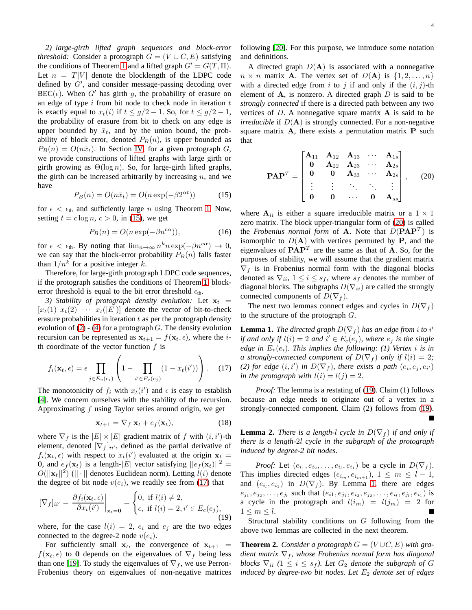<span id="page-3-6"></span>*2) large-girth lifted graph sequences and block-error threshold:* Consider a protograph  $G = (V \cup C, E)$  satisfying the conditions of Theorem [1](#page-2-3) and a lifted graph  $G' = G(T, \Pi)$ . Let  $n = T|V|$  denote the blocklength of the LDPC code defined by G′ , and consider message-passing decoding over  $BEC(\epsilon)$ . When G' has girth g, the probability of erasure on an edge of type  $i$  from bit node to check node in iteration  $t$ is exactly equal to  $x_t(i)$  if  $t \leq g/2 - 1$ . So, for  $t \leq g/2 - 1$ , the probability of erasure from bit to check on any edge is upper bounded by  $\bar{x}_t$ , and by the union bound, the probability of block error, denoted  $P_B(n)$ , is upper bounded as  $P_B(n) = O(n\bar{x}_t)$ . In Section [IV,](#page-5-0) for a given protograph G, we provide constructions of lifted graphs with large girth or girth growing as  $\Theta(\log n)$ . So, for large-girth lifted graphs, the girth can be increased arbitrarily by increasing  $n$ , and we have

<span id="page-3-0"></span>
$$
P_B(n) = O(n\bar{x}_t) = O(n \exp(-\beta 2^{\alpha t})) \tag{15}
$$

for  $\epsilon < \epsilon_{\text{th}}$  and sufficiently large *n* using Theorem [1.](#page-2-3) Now, setting  $t = c \log n$ ,  $c > 0$ , in [\(15\)](#page-3-0), we get

$$
P_B(n) = O(n \exp(-\beta n^{c\alpha})),\tag{16}
$$

for  $\epsilon < \epsilon_{\text{th}}$ . By noting that  $\lim_{n \to \infty} n^k n \exp(-\beta n^{c\alpha}) \to 0$ , we can say that the block-error probability  $P_B(n)$  falls faster than  $1/n^k$  for a positive integer k.

Therefore, for large-girth protograph LDPC code sequences, if the protograph satisfies the conditions of Theorem [1,](#page-2-3) blockerror threshold is equal to the bit error threshold  $\epsilon_{th}$ .

3) Stability of protograph density evolution: Let  $x_t$  =  $[x_t(1)$   $x_t(2)$   $\cdots$   $x_t(|E|)$  denote the vector of bit-to-check erasure probabilities in iteration  $t$  as per the protograph density evolution of  $(2)$  -  $(4)$  for a protograph G. The density evolution recursion can be represented as  $x_{t+1} = f(x_t, \epsilon)$ , where the *i*th coordinate of the vector function  $f$  is

$$
f_i(\mathbf{x}_t, \epsilon) = \epsilon \prod_{j \in E_v(e_i)} \left( 1 - \prod_{i' \in E_c(e_j)} (1 - x_t(i')) \right). \tag{17}
$$

The monotonicity of  $f_i$  with  $x_t(i')$  and  $\epsilon$  is easy to establish [\[4\]](#page-9-3). We concern ourselves with the stability of the recursion. Approximating  $f$  using Taylor series around origin, we get

$$
\mathbf{x}_{t+1} = \nabla_f \mathbf{x}_t + e_f(\mathbf{x}_t), \tag{18}
$$

where  $\nabla_f$  is the  $|E| \times |E|$  gradient matrix of f with  $(i, i')$ -th element, denoted  $[\nabla_f]_{ii'}$ , defined as the partial derivative of  $f_i(\mathbf{x}_t, \epsilon)$  with respect to  $x_t(i')$  evaluated at the origin  $\mathbf{x}_t =$ **0**, and  $e_f(\mathbf{x}_t)$  is a length- $|E|$  vector satisfying  $||e_f(\mathbf{x}_t)||^2 =$  $O(||\mathbf{x}_t||^2)$  ( $|| \cdot ||$  denotes Euclidean norm). Letting  $l(i)$  denote the degree of bit node  $v(e_i)$ , we readily see from [\(17\)](#page-3-1) that

$$
[\nabla_f]_{ii'} = \frac{\partial f_i(\mathbf{x}_t, \epsilon)}{\partial x_t(i')} \bigg|_{\mathbf{x}_t = \mathbf{0}} = \begin{cases} 0, & \text{if } l(i) \neq 2, \\ \epsilon, & \text{if } l(i) = 2, i' \in E_c(e_j), \end{cases}
$$
(19)

where, for the case  $l(i) = 2$ ,  $e_i$  and  $e_j$  are the two edges connected to the degree-2 node  $v(e_i)$ .

For sufficiently small  $x_t$ , the convergence of  $x_{t+1}$  =  $f(\mathbf{x}_t, \epsilon)$  to 0 depends on the eigenvalues of  $\nabla_f$  being less than one [\[19\]](#page-10-2). To study the eigenvalues of  $\nabla_f$ , we use Perron-Frobenius theory on eigenvalues of non-negative matrices

A directed graph  $D(A)$  is associated with a nonnegative  $n \times n$  matrix **A**. The vertex set of  $D(A)$  is  $\{1, 2, ..., n\}$ with a directed edge from i to j if and only if the  $(i, j)$ -th element of  $A$ , is nonzero. A directed graph  $D$  is said to be *strongly connected* if there is a directed path between any two vertices of  $D$ . A nonnegative square matrix  $A$  is said to be *irreducible* if  $D(A)$  is strongly connected. For a non-negative square matrix A, there exists a permutation matrix P such that

<span id="page-3-2"></span>
$$
\mathbf{PAP}^T = \begin{bmatrix} \mathbf{A}_{11} & \mathbf{A}_{12} & \mathbf{A}_{13} & \cdots & \mathbf{A}_{1s} \\ \mathbf{0} & \mathbf{A}_{22} & \mathbf{A}_{23} & \cdots & \mathbf{A}_{2s} \\ \mathbf{0} & \mathbf{0} & \mathbf{A}_{33} & \cdots & \mathbf{A}_{2s} \\ \vdots & \vdots & \ddots & \ddots & \vdots \\ \mathbf{0} & \mathbf{0} & \cdots & \mathbf{0} & \mathbf{A}_{ss} \end{bmatrix}, \quad (20)
$$

where  $A_{ii}$  is either a square irreducible matrix or a  $1 \times 1$ zero matrix. The block upper-triangular form of [\(20\)](#page-3-2) is called the *Frobenius normal form* of **A**. Note that  $D(PAP^T)$  is isomorphic to  $D(A)$  with vertices permuted by P, and the eigenvalues of  $\mathbf{PAP}^T$  are the same as that of **A**. So, for the purposes of stability, we will assume that the gradient matrix  $\nabla_f$  is in Frobenius normal form with the diagonal blocks denoted as  $\nabla_{ii}$ ,  $1 \leq i \leq s_f$ , where  $s_f$  denotes the number of diagonal blocks. The subgraphs  $D(\nabla_{ii})$  are called the strongly connected components of  $D(\nabla_f)$ .

<span id="page-3-4"></span>The next two lemmas connect edges and cycles in  $D(\nabla_f)$ to the structure of the protograph  $G$ .

<span id="page-3-1"></span>**Lemma 1.** *The directed graph*  $D(\nabla_f)$  *has an edge from i to i' if and only if*  $l(i) = 2$  *and*  $i' \in E_c(e_j)$ *, where*  $e_j$  *is the single edge in*  $E_v(e_i)$ *. This implies the following: (1) Vertex i is in a* strongly-connected component of  $D(\nabla_f)$  only if  $l(i) = 2$ ; (2) for edge  $(i, i')$  in  $D(\nabla_f)$ , there exists a path  $(e_i, e_j, e_{i'})$ *in the protograph with*  $l(i) = l(j) = 2$ *.* 

*Proof:* The lemma is a restating of [\(19\)](#page-3-3). Claim (1) follows because an edge needs to originate out of a vertex in a strongly-connected component. Claim (2) follows from [\(19\)](#page-3-3).

<span id="page-3-5"></span>**Lemma 2.** *There is a length-l cycle in*  $D(\nabla_f)$  *if and only if there is a length-*2l *cycle in the subgraph of the protograph induced by degree-2 bit nodes.*

<span id="page-3-3"></span>*Proof:* Let  $(e_{i_1}, e_{i_2}, \ldots, e_{i_l}, e_{i_1})$  be a cycle in  $D(\nabla_f)$ . This implies directed edges  $(e_{i_m}, e_{i_{m+1}}), 1 \leq m \leq l-1,$ and  $(e_{i_l}, e_{i_1})$  in  $D(\nabla_f)$ . By Lemma [1,](#page-3-4) there are edges  $e_{j_1}, e_{j_2}, \ldots, e_{j_l}$  such that  $(e_{i1}, e_{j_1}, e_{i_2}, e_{j_2}, \ldots, e_{i_l}, e_{j_l}, e_{i_1})$  is a cycle in the protograph and  $l(i_m) = l(j_m) = 2$  for  $1 \leq m \leq l$ .

Structural stability conditions on G following from the above two lemmas are collected in the next theorem.

**Theorem 2.** *Consider a protograph*  $G = (V \cup C, E)$  *with gradient matrix*  $\nabla_f$ , whose Frobenius normal form has diagonal *blocks*  $\nabla_{ii}$   $(1 \leq i \leq s_f)$ *. Let*  $G_2$  *denote the subgraph of* G *induced by degree-two bit nodes. Let*  $E_2$  *denote set of edges*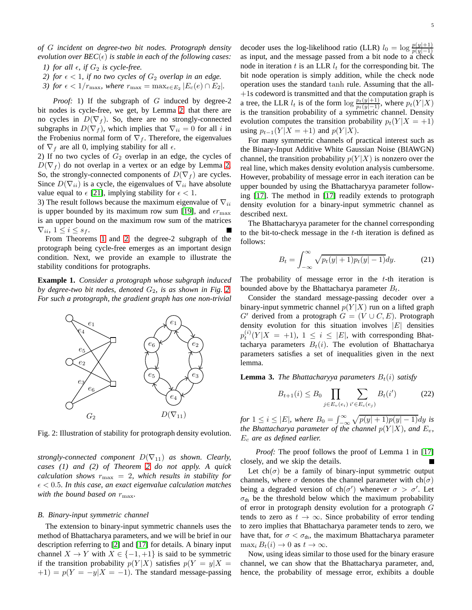*of* G *incident on degree-two bit nodes. Protograph density evolution over*  $BEC(\epsilon)$  *is stable in each of the following cases:* 

- *1)* for all  $\epsilon$ , if  $G_2$  is cycle-free.
- <span id="page-4-0"></span>*2) for*  $\epsilon$  < 1*, if no two cycles of*  $G_2$  *overlap in an edge.*
- *3)* for  $\epsilon < 1/r_{\text{max}}$ , where  $r_{\text{max}} = \max_{e \in E_2} |E_c(e) \cap E_2|$ .

*Proof:* 1) If the subgraph of G induced by degree-2 bit nodes is cycle-free, we get, by Lemma [2,](#page-3-5) that there are no cycles in  $D(\nabla_f)$ . So, there are no strongly-connected subgraphs in  $D(\nabla_f)$ , which implies that  $\nabla_{ii} = 0$  for all i in the Frobenius normal form of  $\nabla_f$ . Therefore, the eigenvalues of  $\nabla_f$  are all 0, implying stability for all  $\epsilon$ .

2) If no two cycles of  $G_2$  overlap in an edge, the cycles of  $D(\nabla_f)$  do not overlap in a vertex or an edge by Lemma [2.](#page-3-5) So, the strongly-connected components of  $D(\nabla_f)$  are cycles. Since  $D(\nabla_{ii})$  is a cycle, the eigenvalues of  $\nabla_{ii}$  have absolute value equal to  $\epsilon$  [\[21\]](#page-10-4), implying stability for  $\epsilon < 1$ .

3) The result follows because the maximum eigenvalue of  $\nabla_{ii}$ is upper bounded by its maximum row sum [\[19\]](#page-10-2), and  $\epsilon r_{\rm max}$ is an upper bound on the maximum row sum of the matrices  $\nabla_{ii}, 1 \leq i \leq s_f.$ 

From Theorems [1](#page-2-3) and [2,](#page-4-0) the degree-2 subgraph of the protograph being cycle-free emerges as an important design condition. Next, we provide an example to illustrate the stability conditions for protographs.

**Example 1.** *Consider a protograph whose subgraph induced by degree-two bit nodes, denoted*  $G_2$ *, is as shown in Fig.* [2.](#page-4-1) *For such a protograph, the gradient graph has one non-trivial*

<span id="page-4-1"></span>

Fig. 2: Illustration of stability for protograph density evolution.

*strongly-connected component*  $D(\nabla_{11})$  *as shown. Clearly, cases (1) and (2) of Theorem [2](#page-4-0) do not apply. A quick calculation shows*  $r_{\text{max}} = 2$ *, which results in stability for*  $\epsilon$  < 0.5*. In this case, an exact eigenvalue calculation matches with the bound based on*  $r_{\text{max}}$ *.* 

#### *B. Binary-input symmetric channel*

The extension to binary-input symmetric channels uses the method of Bhattacharya parameters, and we will be brief in our description referring to [\[2\]](#page-9-1) and [\[17\]](#page-10-0) for details. A binary input channel  $X \to Y$  with  $X \in \{-1, +1\}$  is said to be symmetric if the transition probability  $p(Y|X)$  satisfies  $p(Y = y|X =$  $+1$ ) =  $p(Y = -y|X = -1)$ . The standard message-passing

decoder uses the log-likelihood ratio (LLR)  $l_0 = \log \frac{p(y|+1)}{p(y|-1)}$ as input, and the message passed from a bit node to a check node in iteration t is an LLR  $l_t$  for the corresponding bit. The bit node operation is simply addition, while the check node operation uses the standard tanh rule. Assuming that the all-  $+1s$  codeword is transmitted and that the computation graph is a tree, the LLR  $l_t$  is of the form  $\log \frac{p_t(y|+1)}{p_t(y|-1)}$ , where  $p_t(Y|X)$ is the transition probability of a symmetric channel. Density evolution computes the transition probability  $p_t(Y|X = +1)$ using  $p_{t-1}(Y | X = +1)$  and  $p(Y | X)$ .

For many symmetric channels of practical interest such as the Binary-Input Additive White Gaussian Noise (BIAWGN) channel, the transition probability  $p(Y|X)$  is nonzero over the real line, which makes density evolution analysis cumbersome. However, probability of message error in each iteration can be upper bounded by using the Bhattacharyya parameter following [\[17\]](#page-10-0). The method in [\[17\]](#page-10-0) readily extends to protograph density evolution for a binary-input symmetric channel as described next.

The Bhattacharyya parameter for the channel corresponding to the bit-to-check message in the  $t$ -th iteration is defined as follows:

$$
B_t = \int_{-\infty}^{\infty} \sqrt{p_t(y|+1)p_t(y|-1)} dy.
$$
 (21)

The probability of message error in the  $t$ -th iteration is bounded above by the Bhattacharya parameter  $B_t$ .

Consider the standard message-passing decoder over a binary-input symmetric channel  $p(Y|X)$  run on a lifted graph  $G'$  derived from a protograph  $G = (V \cup C, E)$ . Protograph density evolution for this situation involves  $|E|$  densities  $p_t^{(i)}(Y|X = +1), \ 1 \leq i \leq |E|$ , with corresponding Bhattacharya parameters  $B_t(i)$ . The evolution of Bhattacharya parameters satisfies a set of inequalities given in the next lemma.

**Lemma 3.** *The Bhattacharyya parameters*  $B_t(i)$  *satisfy* 

$$
B_{t+1}(i) \le B_0 \prod_{j \in E_v(e_i)} \sum_{i' \in E_c(e_j)} B_t(i')
$$
 (22)

*for*  $1 \le i \le |E|$ *, where*  $B_0 = \int_{-\infty}^{\infty} \sqrt{p(y|+1)p(y|-1)} dy$  *is the Bhattacharya parameter of the channel*  $p(Y|X)$ *, and*  $E_v$ *,* E<sup>c</sup> *are as defined earlier.*

*Proof:* The proof follows the proof of Lemma 1 in [\[17\]](#page-10-0) closely, and we skip the details.

Let  $ch(\sigma)$  be a family of binary-input symmetric output channels, where  $\sigma$  denotes the channel parameter with ch( $\sigma$ ) being a degraded version of ch( $\sigma'$ ) whenever  $\sigma > \sigma'$ . Let  $\sigma_{th}$  be the threshold below which the maximum probability of error in protograph density evolution for a protograph G tends to zero as  $t \to \infty$ . Since probability of error tending to zero implies that Bhattacharya parameter tends to zero, we have that, for  $\sigma < \sigma_{\text{th}}$ , the maximum Bhattacharya parameter  $\max_i B_t(i) \to 0$  as  $t \to \infty$ .

Now, using ideas similar to those used for the binary erasure channel, we can show that the Bhattacharya parameter, and, hence, the probability of message error, exhibits a double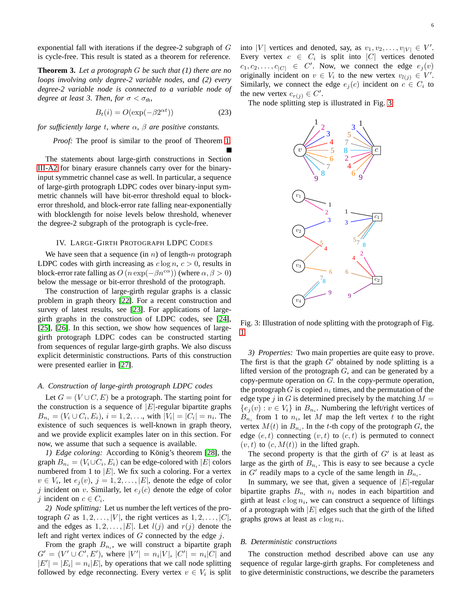exponential fall with iterations if the degree-2 subgraph of  $G$ is cycle-free. This result is stated as a theorem for reference.

**Theorem 3.** *Let a protograph* G *be such that (1) there are no loops involving only degree-2 variable nodes, and (2) every degree-2 variable node is connected to a variable node of degree at least 3. Then, for*  $\sigma < \sigma_{th}$ ,

$$
B_t(i) = O(\exp(-\beta 2^{\alpha t}))\tag{23}
$$

*for sufficiently large* t*, where* α*,* β *are positive constants.*

*Proof:* The proof is similar to the proof of Theorem [1.](#page-2-3)

The statements about large-girth constructions in Section [III-A2](#page-3-6) for binary erasure channels carry over for the binaryinput symmetric channel case as well. In particular, a sequence of large-girth protograph LDPC codes over binary-input symmetric channels will have bit-error threshold equal to blockerror threshold, and block-error rate falling near-exponentially with blocklength for noise levels below threshold, whenever the degree-2 subgraph of the protograph is cycle-free.

### <span id="page-5-0"></span>IV. LARGE-GIRTH PROTOGRAPH LDPC CODES

We have seen that a sequence (in  $n$ ) of length-n protograph LDPC codes with girth increasing as  $c \log n$ ,  $c > 0$ , results in block-error rate falling as  $O(n \exp(-\beta n^{c\alpha}))$  (where  $\alpha, \beta > 0$ ) below the message or bit-error threshold of the protograph.

The construction of large-girth regular graphs is a classic problem in graph theory [\[22\]](#page-10-5). For a recent construction and survey of latest results, see [\[23\]](#page-10-6). For applications of largegirth graphs in the construction of LDPC codes, see [\[24\]](#page-10-7), [\[25\]](#page-10-8), [\[26\]](#page-10-9). In this section, we show how sequences of largegirth protograph LDPC codes can be constructed starting from sequences of regular large-girth graphs. We also discuss explicit deterministic constructions. Parts of this construction were presented earlier in [\[27\]](#page-10-10).

# *A. Construction of large-girth protograph LDPC codes*

Let  $G = (V \cup C, E)$  be a protograph. The starting point for the construction is a sequence of  $|E|$ -regular bipartite graphs  $B_{n_i} = (V_i \cup C_i, E_i), i = 1, 2, \dots$ , with  $|V_i| = |C_i| = n_i$ . The existence of such sequences is well-known in graph theory, and we provide explicit examples later on in this section. For now, we assume that such a sequence is available.

*1) Edge coloring:* According to König's theorem [\[28\]](#page-10-11), the graph  $B_{n_i} = (V_i \cup C_i, E_i)$  can be edge-colored with  $|E|$  colors numbered from 1 to  $|E|$ . We fix such a coloring. For a vertex  $v \in V_i$ , let  $e_j(v)$ ,  $j = 1, 2, \ldots, |E|$ , denote the edge of color j incident on v. Similarly, let  $e_j(c)$  denote the edge of color *j* incident on  $c \in C_i$ .

*2) Node splitting:* Let us number the left vertices of the protograph G as  $1, 2, \ldots, |V|$ , the right vertices as  $1, 2, \ldots, |C|$ , and the edges as  $1, 2, \ldots, |E|$ . Let  $l(j)$  and  $r(j)$  denote the left and right vertex indices of  $G$  connected by the edge  $j$ .

From the graph  $B_{n_i}$ , we will construct a bipartite graph  $G' = (V' \cup C', E'),$  where  $|V'| = n_i |V|, |C'| = n_i |C|$  and  $|E'| = |E_i| = n_i |E|$ , by operations that we call node splitting followed by edge reconnecting. Every vertex  $v \in V_i$  is split into |V| vertices and denoted, say, as  $v_1, v_2, \dots, v_{|V|} \in V'.$ Every vertex  $c \in C_i$  is split into  $|C|$  vertices denoted  $c_1, c_2, \ldots, c_{|C|} \in C'$ . Now, we connect the edge  $e_j(v)$ originally incident on  $v \in V_i$  to the new vertex  $v_{l(j)} \in V'$ . Similarly, we connect the edge  $e_j(c)$  incident on  $c \in C_i$  to the new vertex  $c_{r(j)} \in C'$ .

<span id="page-5-1"></span>The node splitting step is illustrated in Fig. [3.](#page-5-1)



Fig. 3: Illustration of node splitting with the protograph of Fig. [1.](#page-1-2)

*3) Properties:* Two main properties are quite easy to prove. The first is that the graph  $G'$  obtained by node splitting is a lifted version of the protograph  $G$ , and can be generated by a copy-permute operation on  $G$ . In the copy-permute operation, the protograph G is copied  $n_i$  times, and the permutation of the edge type j in G is determined precisely by the matching  $M =$  $\{e_j(v) : v \in V_i\}$  in  $B_{n_i}$ . Numbering the left/right vertices of  $B_{n_i}$  from 1 to  $n_i$ , let M map the left vertex t to the right vertex  $M(t)$  in  $B_{n_i}$ . In the t-th copy of the protograph G, the edge  $(e, t)$  connecting  $(v, t)$  to  $(c, t)$  is permuted to connect  $(v, t)$  to  $(c, M(t))$  in the lifted graph.

The second property is that the girth of  $G'$  is at least as large as the girth of  $B_{n_i}$ . This is easy to see because a cycle in  $G'$  readily maps to a cycle of the same length in  $B_{n_i}$ .

In summary, we see that, given a sequence of  $|E|$ -regular bipartite graphs  $B_{n_i}$  with  $n_i$  nodes in each bipartition and girth at least  $c \log n_i$ , we can construct a sequence of liftings of a protograph with  $|E|$  edges such that the girth of the lifted graphs grows at least as  $c \log n_i$ .

#### *B. Deterministic constructions*

The construction method described above can use any sequence of regular large-girth graphs. For completeness and to give deterministic constructions, we describe the parameters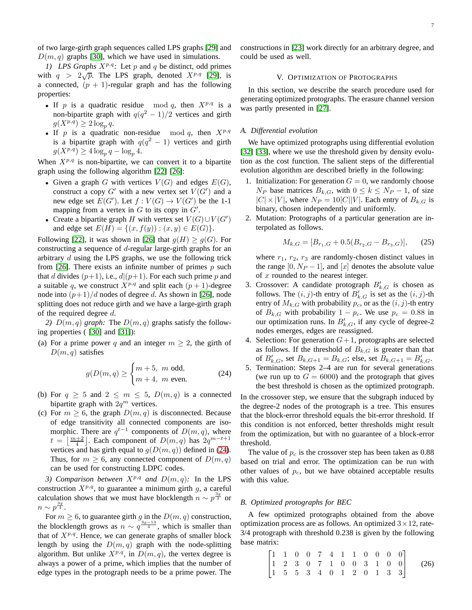of two large-girth graph sequences called LPS graphs [\[29\]](#page-10-12) and  $D(m, q)$  graphs [\[30\]](#page-10-13), which we have used in simulations.

*1)* LPS Graphs  $X^{p,q}$ : Let p and q be distinct, odd primes with  $q > 2\sqrt{p}$ . The LPS graph, denoted  $X^{p,q}$  [\[29\]](#page-10-12), is a connected,  $(p + 1)$ -regular graph and has the following properties:

- If p is a quadratic residue mod q, then  $X^{p,q}$  is a non-bipartite graph with  $q(q^2 - 1)/2$  vertices and girth  $g(X^{p,q}) \geq 2 \log_p q$ .
- If p is a quadratic non-residue mod q, then  $X^{p,q}$ is a bipartite graph with  $q(q^2 - 1)$  vertices and girth  $g(X^{p,q}) \geq 4 \log_p q - \log_p 4.$

When  $X^{p,q}$  is non-bipartite, we can convert it to a bipartite graph using the following algorithm [\[22\]](#page-10-5) [\[26\]](#page-10-9):

- Given a graph G with vertices  $V(G)$  and edges  $E(G)$ , construct a copy  $G'$  with a new vertex set  $V(G')$  and a new edge set  $E(G')$ . Let  $f: V(G) \to V(G')$  be the 1-1 mapping from a vertex in  $G$  to its copy in  $G'$ .
- Create a bipartite graph H with vertex set  $V(G) \cup V(G')$ and edge set  $E(H) = \{(x, f(y)) : (x, y) \in E(G)\}.$

Following [\[22\]](#page-10-5), it was shown in [\[26\]](#page-10-9) that  $q(H) > q(G)$ . For constructing a sequence of d-regular large-girth graphs for an arbitrary d using the LPS graphs, we use the following trick from [\[26\]](#page-10-9). There exists an infinite number of primes  $p$  such that d divides  $(p+1)$ , i.e.,  $d|(p+1)$ . For each such prime p and a suitable q, we construct  $X^{p,q}$  and split each  $(p+1)$ -degree node into  $(p+1)/d$  nodes of degree d. As shown in [\[26\]](#page-10-9), node splitting does not reduce girth and we have a large-girth graph of the required degree  $d$ .

2)  $D(m, q)$  *graph:* The  $D(m, q)$  graphs satisfy the following properties ( [\[30\]](#page-10-13) and [\[31\]](#page-10-14)):

(a) For a prime power q and an integer  $m \geq 2$ , the girth of  $D(m, q)$  satisfies

<span id="page-6-1"></span>
$$
g(D(m, q)) \ge \begin{cases} m+5, & m \text{ odd}, \\ m+4, & m \text{ even}. \end{cases}
$$
 (24)

- (b) For  $q \geq 5$  and  $2 \leq m \leq 5$ ,  $D(m, q)$  is a connected bipartite graph with  $2q^m$  vertices.
- (c) For  $m \geq 6$ , the graph  $D(m, q)$  is disconnected. Because of edge transitivity all connected components are isomorphic. There are  $q^{t-1}$  components of  $D(m, q)$ , where  $t = \left\lfloor \frac{m+2}{4} \right\rfloor$ . Each component of  $D(m, q)$  has  $2q^{m-t+1}$ vertices and has girth equal to  $g(D(m, q))$  defined in [\(24\)](#page-6-1). Thus, for  $m > 6$ , any connected component of  $D(m, q)$ can be used for constructing LDPC codes.

*3) Comparison between*  $X^{p,q}$  *and*  $D(m, q)$ *:* In the LPS construction  $X^{p,q}$ , to guarantee a minimum girth g, a careful calculation shows that we must have blocklength  $n \sim p^{\frac{3g}{2}}$  or  $n \sim p^{\frac{3g}{4}}$ .

For  $m \ge 6$ , to guarantee girth  $g \text{ in the } D(m, q)$  construction, the blocklength grows as  $n \sim q^{\frac{3g-13}{4}}$ , which is smaller than that of  $X^{p,q}$ . Hence, we can generate graphs of smaller block length by using the  $D(m, q)$  graph with the node-splitting algorithm. But unlike  $X^{p,q}$ , in  $D(m, q)$ , the vertex degree is always a power of a prime, which implies that the number of edge types in the protograph needs to be a prime power. The <span id="page-6-0"></span>constructions in [\[23\]](#page-10-6) work directly for an arbitrary degree, and could be used as well.

### V. OPTIMIZATION OF PROTOGRAPHS

In this section, we describe the search procedure used for generating optimized protographs. The erasure channel version was partly presented in [\[27\]](#page-10-10).

### *A. Differential evolution*

We have optimized protographs using differential evolution [\[32\]](#page-10-15) [\[33\]](#page-10-16), where we use the threshold given by density evolution as the cost function. The salient steps of the differential evolution algorithm are described briefly in the following:

- 1. Initialization: For generation  $G = 0$ , we randomly choose  $N_P$  base matrices  $B_{k,G}$ , with  $0 \le k \le N_P - 1$ , of size  $|C| \times |V|$ , where  $N_P = 10|C||V|$ . Each entry of  $B_{k,G}$  is binary, chosen independently and uniformly.
- 2. Mutation: Protographs of a particular generation are interpolated as follows.

$$
M_{k,G} = [B_{r_1,G} + 0.5(B_{r_2,G} - B_{r_3,G})],\qquad(25)
$$

where  $r_1$ ,  $r_2$ ,  $r_3$  are randomly-chosen distinct values in the range  $[0, N_P - 1]$ , and  $[x]$  denotes the absolute value of  $x$  rounded to the nearest integer.

- 3. Crossover: A candidate protograph  $B'_{k,G}$  is chosen as follows. The  $(i, j)$ -th entry of  $B'_{k, G}$  is set as the  $(i, j)$ -th entry of  $M_{k,G}$  with probability  $p_c$ , or as the  $(i, j)$ -th entry of  $B_{k,G}$  with probability  $1 - p_c$ . We use  $p_c = 0.88$  in our optimization runs. In  $B'_{k,G}$ , if any cycle of degree-2 nodes emerges, edges are reassigned.
- 4. Selection: For generation  $G+1$ , protographs are selected as follows. If the threshold of  $B_{k,G}$  is greater than that of  $B'_{k,G}$ , set  $B_{k,G+1} = B_{k,G}$ ; else, set  $B_{k,G+1} = B'_{k,G}$ .
- 5. Termination: Steps 2–4 are run for several generations (we run up to  $G = 6000$ ) and the protograph that gives the best threshold is chosen as the optimized protograph.

In the crossover step, we ensure that the subgraph induced by the degree-2 nodes of the protograph is a tree. This ensures that the block-error threshold equals the bit-error threshold. If this condition is not enforced, better thresholds might result from the optimization, but with no guarantee of a block-error threshold.

The value of  $p_c$  is the crossover step has been taken as 0.88 based on trial and error. The optimization can be run with other values of  $p_c$ , but we have obtained acceptable results with this value.

### <span id="page-6-3"></span>*B. Optimized protographs for BEC*

A few optimized protographs obtained from the above optimization process are as follows. An optimized  $3 \times 12$ , rate-3/4 protograph with threshold 0.238 is given by the following base matrix:

<span id="page-6-2"></span>
$$
\begin{bmatrix} 1 & 1 & 0 & 0 & 7 & 4 & 1 & 1 & 0 & 0 & 0 & 0 \\ 1 & 2 & 3 & 0 & 7 & 1 & 0 & 0 & 3 & 1 & 0 & 0 \\ 1 & 5 & 5 & 3 & 4 & 0 & 1 & 2 & 0 & 1 & 3 & 3 \end{bmatrix}
$$
 (26)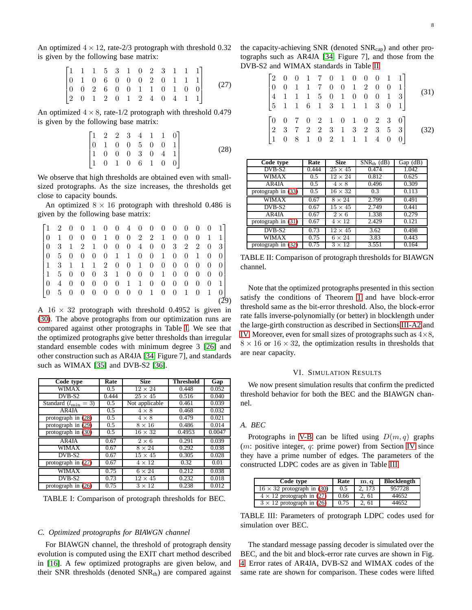An optimized  $4 \times 12$ , rate-2/3 protograph with threshold 0.32 is given by the following base matrix:

$$
\begin{bmatrix} 1 & 1 & 1 & 5 & 3 & 1 & 0 & 2 & 3 & 1 & 1 & 1 \\ 0 & 1 & 0 & 6 & 0 & 0 & 0 & 2 & 0 & 1 & 1 & 1 \\ 0 & 0 & 2 & 6 & 0 & 0 & 1 & 1 & 0 & 1 & 0 & 0 \\ 2 & 0 & 1 & 2 & 0 & 1 & 2 & 4 & 0 & 4 & 1 & 1 \end{bmatrix}
$$
 (27)

An optimized  $4 \times 8$ , rate-1/2 protograph with threshold 0.479 is given by the following base matrix:

<span id="page-7-2"></span>
$$
\begin{bmatrix} 1 & 2 & 2 & 3 & 4 & 1 & 1 & 0 \\ 0 & 1 & 0 & 0 & 5 & 0 & 0 & 1 \\ 1 & 0 & 0 & 0 & 3 & 0 & 4 & 1 \\ 1 & 0 & 1 & 0 & 6 & 1 & 0 & 0 \end{bmatrix}
$$
 (28)

We observe that high thresholds are obtained even with smallsized protographs. As the size increases, the thresholds get close to capacity bounds.

An optimized  $8 \times 16$  protograph with threshold 0.486 is given by the following base matrix:

| $\begin{bmatrix} 1 & 2 & 0 & 0 & 1 & 0 & 0 & 4 & 0 & 0 & 0 & 0 & 0 & 0 & 0 & 1 \end{bmatrix}$ |  |  |                                               |  |  |  |  |                |            |  |
|-----------------------------------------------------------------------------------------------|--|--|-----------------------------------------------|--|--|--|--|----------------|------------|--|
|                                                                                               |  |  |                                               |  |  |  |  | $\overline{1}$ |            |  |
|                                                                                               |  |  |                                               |  |  |  |  |                |            |  |
|                                                                                               |  |  | 10 5 0 0 0 0 1 1 0 0 1 0 0 1 0                |  |  |  |  |                | - O I      |  |
| $\begin{bmatrix} 1 & 3 & 1 & 1 & 1 & 2 & 0 & 0 & 1 & 0 & 0 & 0 & 0 & 0 & 0 \end{bmatrix}$     |  |  |                                               |  |  |  |  |                |            |  |
|                                                                                               |  |  | $1\ 5\ 0\ 0\ 0\ 3\ 1\ 0\ 0\ 0\ 1\ 0\ 0\ 0\ 0$ |  |  |  |  |                | $\cup$ 0 1 |  |
|                                                                                               |  |  | 0 4 0 0 0 0 0 1 1 0 0 0 0 0 0                 |  |  |  |  |                | $-11$      |  |
|                                                                                               |  |  | 10 5 0 0 0 0 0 0 0 1 0 0 1 0 1 0 1            |  |  |  |  |                |            |  |
|                                                                                               |  |  |                                               |  |  |  |  |                |            |  |

A  $16 \times 32$  protograph with threshold 0.4952 is given in [\(30\)](#page-8-1). The above protographs from our optimization runs are compared against other protographs in Table [I.](#page-7-1) We see that the optimized protographs give better thresholds than irregular standard ensemble codes with minimum degree 3 [\[26\]](#page-10-9) and other construction such as AR4JA [\[34,](#page-11-0) Figure 7], and standards such as WIMAX [\[35\]](#page-11-1) and DVB-S2 [\[36\]](#page-11-2).

<span id="page-7-1"></span>

| Code type                        | Rate          | <b>Size</b>    | Threshold | Gap    |
|----------------------------------|---------------|----------------|-----------|--------|
| <b>WIMAX</b>                     | 0.5           | $12 \times 24$ | 0.448     | 0.052  |
| DVB-S2                           | 0.444         | $25 \times 45$ | 0.516     | 0.040  |
| Standard $(l_{\min} = 3)$        | $0.5^{\circ}$ | Not applicable | 0.461     | 0.039  |
| AR4JA                            | 0.5           | $4 \times 8$   | 0.468     | 0.032  |
| protograph in $(28)$             | 0.5           | $4 \times 8$   | 0.479     | 0.021  |
| protograph in $(29)$             | 0.5           | $8 \times 16$  | 0.486     | 0.014  |
| protograph in (30)               | 0.5           | $16 \times 32$ | 0.4953    | 0.0047 |
| AR4JA                            | 0.67          | $2 \times 6$   | 0.291     | 0.039  |
| WIMAX                            | 0.67          | $8 \times 24$  | 0.292     | 0.038  |
| $\overline{DVB}$ -S <sub>2</sub> | 0.67          | $15 \times 45$ | 0.305     | 0.028  |
| protograph in (27)               | 0.67          | $4 \times 12$  | 0.32      | 0.01   |
| <b>WIMAX</b>                     | 0.75          | $6 \times 24$  | 0.212     | 0.038  |
| $DVB-S2$                         | 0.73          | $12 \times 45$ | 0.232     | 0.018  |
| protograph in $(26)$             | 0.75          | $3 \times 12$  | 0.238     | 0.012  |

TABLE I: Comparison of protograph thresholds for BEC.

### *C. Optimized protographs for BIAWGN channel*

For BIAWGN channel, the threshold of protograph density evolution is computed using the EXIT chart method described in [\[16\]](#page-9-12). A few optimized protographs are given below, and their SNR thresholds (denoted  $SNR<sub>th</sub>$ ) are compared against <span id="page-7-4"></span>the capacity-achieving SNR (denoted  $SNR_{cap}$ ) and other protographs such as AR4JA [\[34,](#page-11-0) Figure 7], and those from the DVB-S2 and WIMAX standards in Table [II.](#page-7-5)

<span id="page-7-7"></span><span id="page-7-6"></span>

|                                                                                                                                                                                 |  |  |  |  |  | $\begin{bmatrix} 2 & 0 & 0 & 1 & 7 & 0 & 1 & 0 & 0 & 0 & 1 & 1 \\ 0 & 0 & 1 & 1 & 7 & 0 & 0 & 1 & 2 & 0 & 0 & 1 \\ 4 & 1 & 1 & 1 & 5 & 0 & 1 & 0 & 0 & 0 & 1 & 3 \\ 5 & 1 & 1 & 6 & 1 & 3 & 1 & 1 & 1 & 3 & 0 & 1 \end{bmatrix}.$ | (31) |
|---------------------------------------------------------------------------------------------------------------------------------------------------------------------------------|--|--|--|--|--|-----------------------------------------------------------------------------------------------------------------------------------------------------------------------------------------------------------------------------------|------|
| $\begin{bmatrix} 0 & 0 & 7 & 0 & 2 & 1 & 0 & 1 & 0 & 2 & 3 & 0 \\ 2 & 3 & 7 & 2 & 2 & 3 & 1 & 3 & 2 & 3 & 5 & 3 \\ 1 & 0 & 8 & 1 & 0 & 2 & 1 & 1 & 1 & 4 & 0 & 0 \end{bmatrix}$ |  |  |  |  |  |                                                                                                                                                                                                                                   | (32) |

<span id="page-7-5"></span>

| Code type            | Rate  | <b>Size</b>    | $SNR_{th}$ (dB)   | $Gap$ ( $dB$ ) |
|----------------------|-------|----------------|-------------------|----------------|
| DVB-S2               | 0.444 | $25 \times 45$ | 0.474             | 1.042          |
| WIMAX                | 0.5   | $12\times24$   | 0.812             | 0.625          |
| AR4JA                | 0.5   | $4 \times 8$   | 0.496             | 0.309          |
| protograph in $(33)$ | 0.5   | $16 \times 32$ | 0.3               | 0.113          |
| <b>WIMAX</b>         | 0.67  | $8 \times 24$  | 2.799             | 0.491          |
| DVB-S2               | 0.67  | $15 \times 45$ | 2.749             | 0.441          |
| $AR\overline{4JA}$   | 0.67  | $2 \times 6$   | 1.338             | 0.279          |
| protograph in $(31)$ | 0.67  | $4 \times 12$  | 2.429             | 0.121          |
| $DVB-S2$             | 0.73  | $12 \times 45$ | $\overline{3.62}$ | 0.498          |
| WIMAX                | 0.75  | $6 \times 24$  | 3.83              | 0.443          |
| protograph in (32)   | 0.75  | $3 \times 12$  | 3.551             | 0.164          |

<span id="page-7-3"></span>TABLE II: Comparison of protograph thresholds for BIAWGN channel.

Note that the optimized protographs presented in this section satisfy the conditions of Theorem [1](#page-2-3) and have block-error threshold same as the bit-error threshold. Also, the block-error rate falls inverse-polynomially (or better) in blocklength under the large-girth construction as described in Sections [III-A2](#page-3-6) and [IV.](#page-5-0) Moreover, even for small sizes of protographs such as  $4\times8$ ,  $8 \times 16$  or  $16 \times 32$ , the optimization results in thresholds that are near capacity.

#### VI. SIMULATION RESULTS

<span id="page-7-0"></span>We now present simulation results that confirm the predicted threshold behavior for both the BEC and the BIAWGN channel.

### *A. BEC*

Protographs in [V-B](#page-6-3) can be lifted using  $D(m, q)$  graphs  $(m:$  positive integer, q: prime power) from Section [IV](#page-5-0) since they have a prime number of edges. The parameters of the constructed LDPC codes are as given in Table [III.](#page-7-8)

<span id="page-7-8"></span>

| Code type                         | Rate | m, q   | <b>Blocklength</b> |
|-----------------------------------|------|--------|--------------------|
| $16 \times 32$ protograph in (30) | 0.5  | 2, 173 | 957728             |
| $4 \times 12$ protograph in (27)  | 0.66 | 2.61   | 44652              |
| $3 \times 12$ protograph in (26)  | 0.75 | 2, 61  | 44652              |

TABLE III: Parameters of protograph LDPC codes used for simulation over BEC.

The standard message passing decoder is simulated over the BEC, and the bit and block-error rate curves are shown in Fig. [4.](#page-9-13) Error rates of AR4JA, DVB-S2 and WIMAX codes of the same rate are shown for comparison. These codes were lifted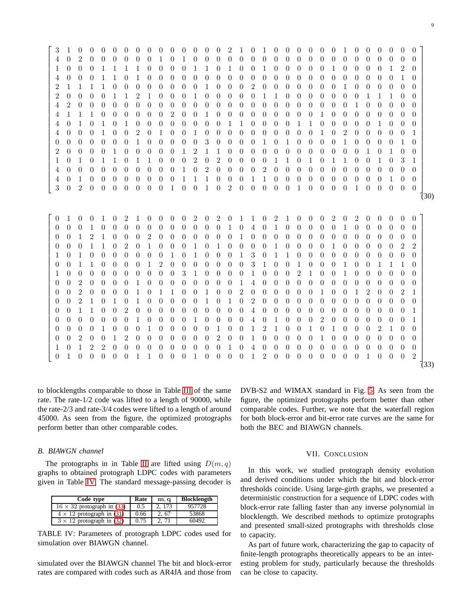<span id="page-8-2"></span><span id="page-8-1"></span> 3 1 0 0 0 0 0 0 0 0 0 0 0 0 0 2 1 0 1 0 0 0 0 0 0 1 0 0 0 0 0 0 4 0 2 0 0 0 0 0 0 1 0 1 0 0 0 0 0 0 0 0 0 0 0 0 0 0 0 0 0 0 0 0 1 0 0 0 1 1 1 1 0 0 0 0 1 1 0 1 0 0 1 0 0 0 0 0 1 0 0 0 0 1 2 0 4 0 0 0 1 1 0 1 0 0 0 0 0 0 0 0 0 0 0 0 0 0 0 0 0 0 0 0 0 0 1 0 2 1 1 1 1 0 0 0 0 0 0 0 0 1 0 0 0 2 0 0 0 0 0 0 0 1 0 0 0 0 0 0 2 0 0 0 0 1 1 2 1 0 0 0 1 0 0 0 0 0 1 1 0 0 0 0 0 0 0 1 1 1 0 0 4 2 0 0 0 0 0 0 0 0 0 0 0 0 0 0 0 0 0 0 0 0 0 0 0 0 1 0 0 0 0 0 4 1 1 1 0 0 0 0 0 0 2 0 0 1 0 0 0 0 0 0 0 0 0 1 0 0 0 0 0 0 0 0 4 0 1 0 1 0 1 0 0 0 0 0 0 0 0 1 1 0 0 0 0 1 1 0 0 0 0 0 1 0 0 0 4 0 0 0 1 0 0 2 0 1 0 0 1 0 0 0 0 0 0 0 0 0 0 1 0 2 0 0 0 0 0 1 0 0 0 0 0 0 0 1 0 0 0 0 0 3 0 0 0 0 1 0 1 0 0 0 0 1 0 0 0 0 1 0 2 0 0 0 0 1 0 0 0 0 0 1 2 1 1 0 0 0 0 0 0 0 0 0 0 0 0 1 0 1 0 0 1 0 1 0 1 1 0 1 1 0 0 0 2 0 2 0 0 0 0 1 1 0 1 0 1 1 0 0 1 0 3 1 4 0 0 0 0 0 0 0 0 0 0 1 0 2 0 0 0 0 2 0 0 0 0 0 0 0 0 0 0 0 0 0 4 0 1 0 0 0 0 0 0 0 0 1 1 1 0 0 0 1 1 0 0 0 0 0 0 0 0 0 0 1 0 0 3 0 2 0 0 0 0 0 0 0 1 0 0 1 0 2 0 0 0 0 0 1 0 0 0 0 1 0 0 0 0 0 (30) 0 1 0 0 1 0 2 1 0 0 0 0 2 0 2 0 1 1 0 2 1 0 0 0 2 0 2 0 0 0 0 0 0 0 0 1 0 0 0 0 0 0 0 0 0 0 0 1 0 4 0 1 0 0 0 0 0 1 0 0 0 0 0 0 0 0 1 2 1 0 0 0 2 0 0 0 0 0 0 0 1 0 0 0 0 0 0 0 0 0 0 0 0 0 0 0 0 0 0 1 1 0 2 0 1 0 0 0 1 0 1 0 0 0 0 1 0 0 0 0 1 0 0 0 0 0 2 2 1 0 1 0 0 0 0 0 0 0 1 0 1 0 0 0 1 3 0 1 1 0 0 0 0 0 0 0 0 0 0 0 0 0 1 1 0 0 0 0 1 2 0 0 0 0 0 0 0 3 1 0 0 1 0 0 0 1 0 0 1 1 1 0 1 0 0 0 0 0 0 0 0 0 0 3 1 0 0 0 0 1 0 0 0 2 1 0 0 1 0 0 0 0 0 0 0 0 2 0 0 0 0 1 0 0 0 0 0 0 0 0 1 4 0 0 0 0 0 0 0 0 0 0 0 0 0 0 0 0 2 0 0 0 0 1 0 1 1 0 0 1 0 0 2 0 0 0 0 0 0 1 0 0 1 2 0 0 2 1 0 0 2 1 0 1 0 1 0 0 0 0 0 1 0 1 0 2 0 0 0 0 0 0 0 0 0 0 0 0 0 0 0 0 1 1 0 0 2 0 0 0 0 0 0 0 0 0 0 4 0 0 0 0 0 0 0 0 0 0 0 0 0 1 0 0 0 0 0 0 0 1 0 0 0 0 1 0 0 0 0 4 0 1 0 0 0 2 0 0 0 0 0 0 0 1 0 0 0 0 1 0 0 0 1 0 0 0 0 0 1 0 0 1 2 1 0 0 1 0 1 0 0 0 2 1 0 0 0 0 2 0 0 1 2 0 0 0 0 0 0 0 2 0 0 1 0 0 0 0 0 1 0 0 0 0 0 0 0 0 1 0 1 2 2 0 0 0 0 0 0 0 0 0 0 1 0 4 0 0 0 0 0 0 0 0 0 0 0 0 0 0 0 1 0 0 0 0 0 1 1 0 0 0 1 0 0 0 0 1 2 0 0 0 0 0 0 0 0 1 0 0 0 2 (33)

to blocklengths comparable to those in Table [III](#page-7-8) of the same rate. The rate-1/2 code was lifted to a length of 90000, while the rate-2/3 and rate-3/4 codes were lifted to a length of around 45000. As seen from the figure, the optimized protographs perform better than other comparable codes.

### *B. BIAWGN channel*

The protographs in in Table [II](#page-7-5) are lifted using  $D(m, q)$ graphs to obtained protograph LDPC codes with parameters given in Table [IV.](#page-8-3) The standard message-passing decoder is

<span id="page-8-3"></span>

| Code type                         | Rate | m, q   | <b>Blocklength</b> |
|-----------------------------------|------|--------|--------------------|
| $16 \times 32$ protograph in (33) | 0.5  | 2, 173 | 957728             |
| $4 \times 12$ protograph in (31)  | 0.66 | 2, 67  | 53868              |
| $3 \times 12$ protograph in (32)  | 0.75 | 2, 71  | 60492              |

TABLE IV: Parameters of protograph LDPC codes used for simulation over BIAWGN channel.

simulated over the BIAWGN channel The bit and block-error rates are compared with codes such as AR4JA and those from

DVB-S2 and WIMAX standard in Fig. [5.](#page-10-17) As seen from the figure, the optimized protographs perform better than other comparable codes. Further, we note that the waterfall region for both block-error and bit-error rate curves are the same for both the BEC and BIAWGN channels.

# VII. CONCLUSION

<span id="page-8-0"></span>In this work, we studied protograph density evolution and derived conditions under which the bit and block-error thresholds coincide. Using large-girth graphs, we presented a deterministic construction for a sequence of LDPC codes with block-error rate falling faster than any inverse polynomial in blocklength. We described methods to optimize protographs and presented small-sized protographs with thresholds close to capacity.

As part of future work, characterizing the gap to capacity of finite-length protographs theoretically appears to be an interesting problem for study, particularly because the thresholds can be close to capacity.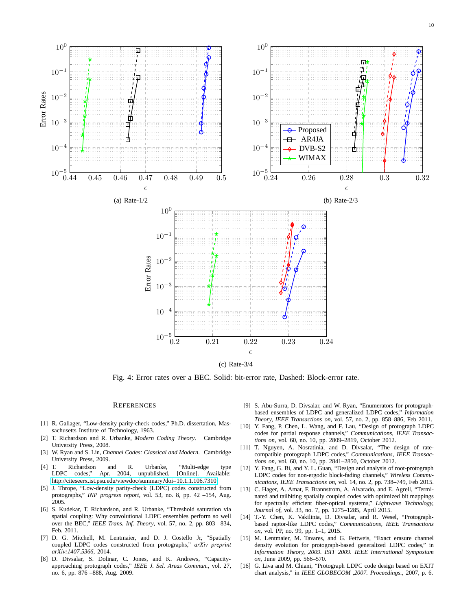10

<span id="page-9-13"></span>

(c) Rate-3/4

Fig. 4: Error rates over a BEC. Solid: bit-error rate, Dashed: Block-error rate.

#### **REFERENCES**

- <span id="page-9-0"></span>[1] R. Gallager, "Low-density parity-check codes," Ph.D. dissertation, Massachusetts Institute of Technology, 1963.
- <span id="page-9-1"></span>[2] T. Richardson and R. Urbanke, *Modern Coding Theory*. Cambridge University Press, 2008.
- <span id="page-9-2"></span>[3] W. Ryan and S. Lin, *Channel Codes: Classical and Modern*. Cambridge University Press, 2009.
- <span id="page-9-3"></span>[4] T. Richardson and R. Urbanke, "Multi-edge type LDPC codes," Apr. 2004, unpublished. [Online]. Available: <http://citeseerx.ist.psu.edu/viewdoc/summary?doi=10.1.1.106.7310>
- <span id="page-9-4"></span>[5] J. Thrope, "Low-density parity-check (LDPC) codes constructed from protographs," *INP progress report*, vol. 53, no. 8, pp. 42 –154, Aug. 2005.
- <span id="page-9-5"></span>[6] S. Kudekar, T. Richardson, and R. Urbanke, "Threshold saturation via spatial coupling: Why convolutional LDPC ensembles perform so well over the BEC," *IEEE Trans. Inf. Theory*, vol. 57, no. 2, pp. 803 –834, Feb. 2011.
- <span id="page-9-6"></span>[7] D. G. Mitchell, M. Lentmaier, and D. J. Costello Jr, "Spatially coupled LDPC codes constructed from protographs," *arXiv preprint arXiv:1407.5366*, 2014.
- <span id="page-9-7"></span>[8] D. Divsalar, S. Dolinar, C. Jones, and K. Andrews, "Capacityapproaching protograph codes," *IEEE J. Sel. Areas Commun.*, vol. 27, no. 6, pp. 876 –888, Aug. 2009.
- <span id="page-9-8"></span>[9] S. Abu-Surra, D. Divsalar, and W. Ryan, "Enumerators for protographbased ensembles of LDPC and generalized LDPC codes," *Information Theory, IEEE Transactions on*, vol. 57, no. 2, pp. 858–886, Feb 2011.
- <span id="page-9-9"></span>[10] Y. Fang, P. Chen, L. Wang, and F. Lau, "Design of protograph LDPC codes for partial response channels," *Communications, IEEE Transactions on*, vol. 60, no. 10, pp. 2809–2819, October 2012.
- [11] T. Nguyen, A. Nosratinia, and D. Divsalar, "The design of ratecompatible protograph LDPC codes," *Communications, IEEE Transactions on*, vol. 60, no. 10, pp. 2841–2850, October 2012.
- [12] Y. Fang, G. Bi, and Y. L. Guan, "Design and analysis of root-protograph LDPC codes for non-ergodic block-fading channels," *Wireless Communications, IEEE Transactions on*, vol. 14, no. 2, pp. 738–749, Feb 2015.
- [13] C. Hager, A. Amat, F. Brannstrom, A. Alvarado, and E. Agrell, "Terminated and tailbiting spatially coupled codes with optimized bit mappings for spectrally efficient fiber-optical systems," *Lightwave Technology, Journal of*, vol. 33, no. 7, pp. 1275–1285, April 2015.
- <span id="page-9-10"></span>[14] T.-Y. Chen, K. Vakilinia, D. Divsalar, and R. Wesel, "Protographbased raptor-like LDPC codes," *Communications, IEEE Transactions on*, vol. PP, no. 99, pp. 1–1, 2015.
- <span id="page-9-11"></span>[15] M. Lentmaier, M. Tavares, and G. Fettweis, "Exact erasure channel density evolution for protograph-based generalized LDPC codes," in *Information Theory, 2009. ISIT 2009. IEEE International Symposium on*, June 2009, pp. 566–570.
- <span id="page-9-12"></span>[16] G. Liva and M. Chiani, "Protograph LDPC code design based on EXIT chart analysis," in *IEEE GLOBECOM ,2007. Proceedings.*, 2007, p. 6.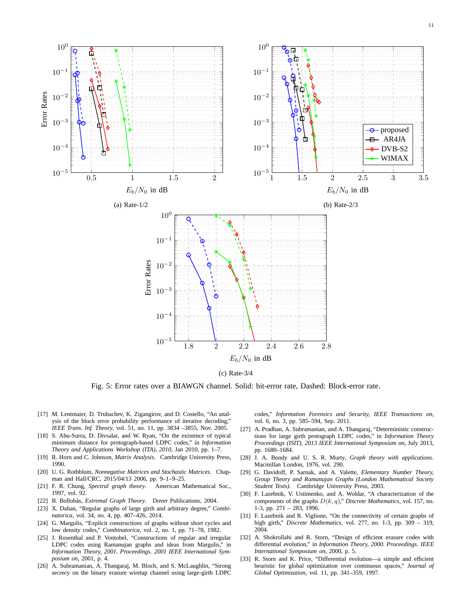11

<span id="page-10-17"></span>

Fig. 5: Error rates over a BIAWGN channel. Solid: bit-error rate, Dashed: Block-error rate.

- <span id="page-10-0"></span>[17] M. Lentmaier, D. Truhachev, K. Zigangirov, and D. Costello, "An analysis of the block error probability performance of iterative decoding," *IEEE Trans. Inf. Theory*, vol. 51, no. 11, pp. 3834 –3855, Nov. 2005.
- <span id="page-10-1"></span>[18] S. Abu-Surra, D. Divsalar, and W. Ryan, "On the existence of typical minimum distance for protograph-based LDPC codes," in *Information Theory and Applications Workshop (ITA), 2010*, Jan 2010, pp. 1–7.
- <span id="page-10-2"></span>[19] R. Horn and C. Johnson, *Matrix Analysis*. Cambridge University Press, 1990.
- <span id="page-10-3"></span>[20] U. G. Rothblum, *Nonnegative Matrices and Stochastic Matrices*. Chapman and Hall/CRC, 2015/04/13 2006, pp. 9–1–9–25.
- <span id="page-10-4"></span>[21] F. R. Chung, *Spectral graph theory*. American Mathematical Soc., 1997, vol. 92.
- <span id="page-10-6"></span><span id="page-10-5"></span>[22] B. Bollobás, *Extremal Graph Theory*. Dover Publications, 2004.
- [23] X. Dahan, "Regular graphs of large girth and arbitrary degree," *Combinatorica*, vol. 34, no. 4, pp. 407–426, 2014.
- <span id="page-10-7"></span>[24] G. Margulis, "Explicit constructions of graphs without short cycles and low density codes," *Combinatorica*, vol. 2, no. 1, pp. 71–78, 1982.
- <span id="page-10-8"></span>[25] J. Rosenthal and P. Vontobel, "Constructions of regular and irregular LDPC codes using Ramanujan graphs and ideas from Margulis," in *Information Theory, 2001. Proceedings. 2001 IEEE International Symposium on*, 2001, p. 4.
- <span id="page-10-9"></span>[26] A. Subramanian, A. Thangaraj, M. Bloch, and S. McLaughlin, "Strong secrecy on the binary erasure wiretap channel using large-girth LDPC

codes," *Information Forensics and Security, IEEE Transactions on*, vol. 6, no. 3, pp. 585–594, Sep. 2011.

- <span id="page-10-10"></span>[27] A. Pradhan, A. Subramanian, and A. Thangaraj, "Deterministic constructions for large girth protograph LDPC codes," in *Information Theory Proceedings (ISIT), 2013 IEEE International Symposium on*, July 2013, pp. 1680–1684.
- <span id="page-10-11"></span>[28] J. A. Bondy and U. S. R. Murty, *Graph theory with applications*. Macmillan London, 1976, vol. 290.
- <span id="page-10-12"></span>[29] G. Davidoff, P. Sarnak, and A. Valette, *Elementary Number Theory, Group Theory and Ramanujan Graphs (London Mathematical Society Student Texts)*. Cambridge University Press, 2003.
- <span id="page-10-13"></span>[30] F. Lazebnik, V. Ustimenko, and A. Woldar, "A characterization of the components of the graphs D(k, q)," *Discrete Mathematics*, vol. 157, no. 1-3, pp. 271 – 283, 1996.
- <span id="page-10-14"></span>[31] F. Lazebnik and R. Viglione, "On the connectivity of certain graphs of high girth," *Discrete Mathematics*, vol. 277, no. 1-3, pp. 309 – 319, 2004.
- <span id="page-10-15"></span>[32] A. Shokrollahi and R. Storn, "Design of efficient erasure codes with differential evolution," in *Information Theory, 2000. Proceedings. IEEE International Symposium on*, 2000, p. 5.
- <span id="page-10-16"></span>[33] R. Storn and K. Price, "Differential evolution—a simple and efficient heuristic for global optimization over continuous spaces," *Journal of Global Optimization*, vol. 11, pp. 341–359, 1997.